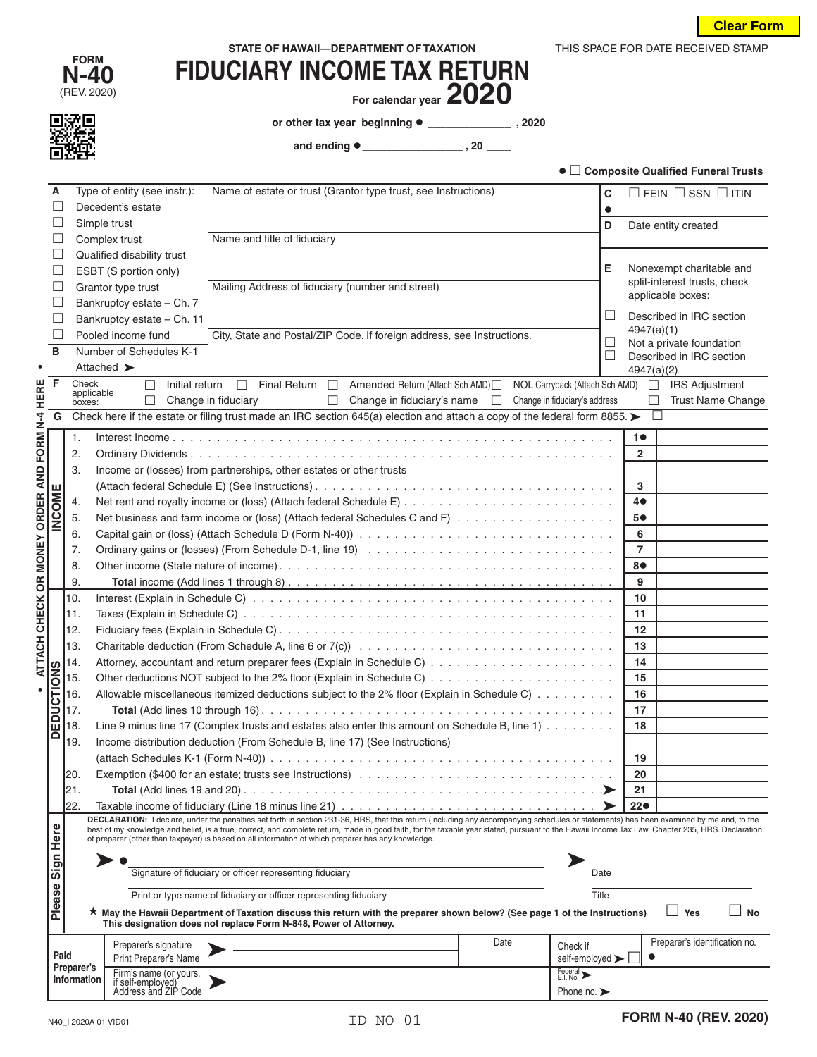| STATE OF HAWAII-DEPARTMENT OF TAXATION |
|----------------------------------------|
|                                        |

| <b>FORM</b>         |  |  |  |  |
|---------------------|--|--|--|--|
| <b>N-40</b>         |  |  |  |  |
| $\sqrt{D}$<br>nnnni |  |  |  |  |

回沈回

## **N-40 FIDUCIARY INCOME TAX RETURN**<br>
FIDUCIARY INCOME TAX RETURN<br>
FIGURE 1020

(REV. 2020) **For calendar year 2020**

**or other tax year beginning \_\_\_\_\_\_\_\_\_\_\_\_\_\_ , 2020**

 **and ending \_\_\_\_\_\_\_\_\_\_\_\_\_\_\_\_\_ , 20 \_\_\_\_**

| ● □ Composite Qualified Funeral Trusts |  |  |
|----------------------------------------|--|--|
|----------------------------------------|--|--|

THIS SPACE FOR DATE RECEIVED STAMP

|                                                                                             | Α                 |                     | Type of entity (see instr.): | Name of estate or trust (Grantor type trust, see Instructions)                                                                                                                                                                                                                                        |                                         | C               | $\Box$ FEIN $\Box$ SSN $\Box$ ITIN                |
|---------------------------------------------------------------------------------------------|-------------------|---------------------|------------------------------|-------------------------------------------------------------------------------------------------------------------------------------------------------------------------------------------------------------------------------------------------------------------------------------------------------|-----------------------------------------|-----------------|---------------------------------------------------|
| Decedent's estate                                                                           |                   |                     |                              |                                                                                                                                                                                                                                                                                                       | $\bullet$                               |                 |                                                   |
|                                                                                             |                   |                     | Simple trust                 |                                                                                                                                                                                                                                                                                                       |                                         | D               | Date entity created                               |
|                                                                                             | ш                 |                     | Complex trust                | Name and title of fiduciary                                                                                                                                                                                                                                                                           |                                         |                 |                                                   |
|                                                                                             | ш                 |                     | Qualified disability trust   |                                                                                                                                                                                                                                                                                                       |                                         |                 |                                                   |
|                                                                                             | ш                 |                     | ESBT (S portion only)        |                                                                                                                                                                                                                                                                                                       |                                         | Е               | Nonexempt charitable and                          |
|                                                                                             | ш                 |                     | Grantor type trust           | Mailing Address of fiduciary (number and street)                                                                                                                                                                                                                                                      |                                         |                 | split-interest trusts, check<br>applicable boxes: |
|                                                                                             | ш                 |                     | Bankruptcy estate - Ch. 7    |                                                                                                                                                                                                                                                                                                       |                                         |                 |                                                   |
|                                                                                             | ш                 |                     | Bankruptcy estate - Ch. 11   |                                                                                                                                                                                                                                                                                                       |                                         | ⊔               | Described in IRC section<br>4947(a)(1)            |
|                                                                                             | ш                 |                     | Pooled income fund           | City, State and Postal/ZIP Code. If foreign address, see Instructions.                                                                                                                                                                                                                                |                                         | $\Box$          | Not a private foundation                          |
|                                                                                             | в                 |                     | Number of Schedules K-1      |                                                                                                                                                                                                                                                                                                       |                                         | ⊔               | Described in IRC section                          |
|                                                                                             |                   |                     | Attached >                   |                                                                                                                                                                                                                                                                                                       |                                         |                 | 4947(a)(2)                                        |
|                                                                                             | F                 | Check<br>applicable | П                            | Initial return <b>D</b> Final Return <b>D</b> Amended Return (Attach Sch AMD) D                                                                                                                                                                                                                       | NOL Carryback (Attach Sch AMD) $\Box$   |                 | <b>IRS Adjustment</b>                             |
|                                                                                             |                   | boxes:              | $\Box$                       | Change in fiduciary<br>$\Box$ Change in fiduciary's name                                                                                                                                                                                                                                              | Change in fiduciary's address<br>$\Box$ |                 | <b>Trust Name Change</b><br>П                     |
| ATTACH CHECK OR MONEY ORDER AND FORM N-4 HERE                                               | G                 |                     |                              | Check here if the estate or filing trust made an IRC section 645(a) election and attach a copy of the federal form 8855. ►                                                                                                                                                                            |                                         |                 |                                                   |
|                                                                                             |                   | 1.                  |                              |                                                                                                                                                                                                                                                                                                       |                                         |                 | 10                                                |
|                                                                                             |                   | 2.                  |                              |                                                                                                                                                                                                                                                                                                       |                                         |                 | $\mathbf{2}$                                      |
|                                                                                             |                   | 3.                  |                              | Income or (losses) from partnerships, other estates or other trusts                                                                                                                                                                                                                                   |                                         |                 |                                                   |
|                                                                                             |                   |                     |                              |                                                                                                                                                                                                                                                                                                       |                                         |                 | 3                                                 |
|                                                                                             |                   | 4.                  |                              |                                                                                                                                                                                                                                                                                                       |                                         |                 | 40                                                |
|                                                                                             | INCOME            | 5.                  |                              | Net business and farm income or (loss) (Attach federal Schedules C and F)                                                                                                                                                                                                                             |                                         |                 | 5●                                                |
|                                                                                             |                   | 6.                  |                              |                                                                                                                                                                                                                                                                                                       |                                         |                 | 6                                                 |
|                                                                                             |                   | 7.                  |                              |                                                                                                                                                                                                                                                                                                       |                                         |                 | $\overline{7}$                                    |
|                                                                                             |                   | 8.                  |                              |                                                                                                                                                                                                                                                                                                       |                                         |                 | 8●                                                |
|                                                                                             |                   | 9.                  |                              |                                                                                                                                                                                                                                                                                                       |                                         |                 | 9                                                 |
|                                                                                             |                   | 10.                 |                              |                                                                                                                                                                                                                                                                                                       |                                         |                 | 10                                                |
|                                                                                             |                   | 11.                 |                              |                                                                                                                                                                                                                                                                                                       |                                         |                 | 11                                                |
|                                                                                             |                   | 12.                 |                              |                                                                                                                                                                                                                                                                                                       |                                         |                 | 12                                                |
|                                                                                             |                   | 13.                 |                              |                                                                                                                                                                                                                                                                                                       |                                         |                 | 13                                                |
|                                                                                             | <b>DEDUCTIONS</b> | 14.<br>15.          |                              |                                                                                                                                                                                                                                                                                                       |                                         |                 | 14<br>15                                          |
|                                                                                             |                   | 16.                 |                              | Allowable miscellaneous itemized deductions subject to the 2% floor (Explain in Schedule C)                                                                                                                                                                                                           |                                         |                 | 16                                                |
|                                                                                             |                   | 17.                 |                              |                                                                                                                                                                                                                                                                                                       |                                         |                 | 17                                                |
|                                                                                             |                   | 18.                 |                              | Line 9 minus line 17 (Complex trusts and estates also enter this amount on Schedule B, line 1)                                                                                                                                                                                                        |                                         |                 | 18                                                |
|                                                                                             |                   | 19.                 |                              | Income distribution deduction (From Schedule B, line 17) (See Instructions)                                                                                                                                                                                                                           |                                         |                 |                                                   |
|                                                                                             |                   |                     |                              |                                                                                                                                                                                                                                                                                                       |                                         |                 | 19                                                |
|                                                                                             |                   | I20.                |                              |                                                                                                                                                                                                                                                                                                       |                                         |                 | 20                                                |
|                                                                                             |                   | 21.                 |                              |                                                                                                                                                                                                                                                                                                       |                                         |                 | 21                                                |
|                                                                                             |                   | 22.                 |                              |                                                                                                                                                                                                                                                                                                       |                                         |                 | 22 <sub>o</sub>                                   |
|                                                                                             |                   |                     |                              | DECLARATION: I declare, under the penalties set forth in section 231-36, HRS, that this return (including any accompanying schedules or statements) has been examined by me and, to the                                                                                                               |                                         |                 |                                                   |
|                                                                                             | Here              |                     |                              | best of my knowledge and belief, is a true, correct, and complete return, made in good faith, for the taxable year stated, pursuant to the Hawaii Income Tax Law, Chapter 235, HRS. Declaration<br>of preparer (other than taxpayer) is based on all information of which preparer has any knowledge. |                                         |                 |                                                   |
|                                                                                             |                   |                     |                              |                                                                                                                                                                                                                                                                                                       |                                         |                 |                                                   |
|                                                                                             |                   |                     |                              | Signature of fiduciary or officer representing fiduciary                                                                                                                                                                                                                                              |                                         | Date            |                                                   |
|                                                                                             |                   |                     |                              | Print or type name of fiduciary or officer representing fiduciary                                                                                                                                                                                                                                     |                                         | Title           |                                                   |
|                                                                                             | Please Sign       |                     |                              | ★ May the Hawaii Department of Taxation discuss this return with the preparer shown below? (See page 1 of the Instructions)                                                                                                                                                                           |                                         |                 | $\sqcup$ Yes<br>No                                |
|                                                                                             |                   |                     |                              | This designation does not replace Form N-848, Power of Attorney.                                                                                                                                                                                                                                      |                                         |                 |                                                   |
|                                                                                             |                   |                     | Preparer's signature         |                                                                                                                                                                                                                                                                                                       | Date<br>Check if                        |                 | Preparer's identification no.                     |
|                                                                                             | Paid              |                     | Print Preparer's Name        |                                                                                                                                                                                                                                                                                                       |                                         | self-employed > |                                                   |
|                                                                                             |                   | Preparer's          | Firm's name (or yours,       |                                                                                                                                                                                                                                                                                                       | Federal >                               |                 |                                                   |
| Information<br>if self-employed)<br>Address and ZIP Code<br>Phone no. $\blacktriangleright$ |                   |                     |                              |                                                                                                                                                                                                                                                                                                       |                                         |                 |                                                   |
|                                                                                             |                   |                     |                              |                                                                                                                                                                                                                                                                                                       |                                         |                 |                                                   |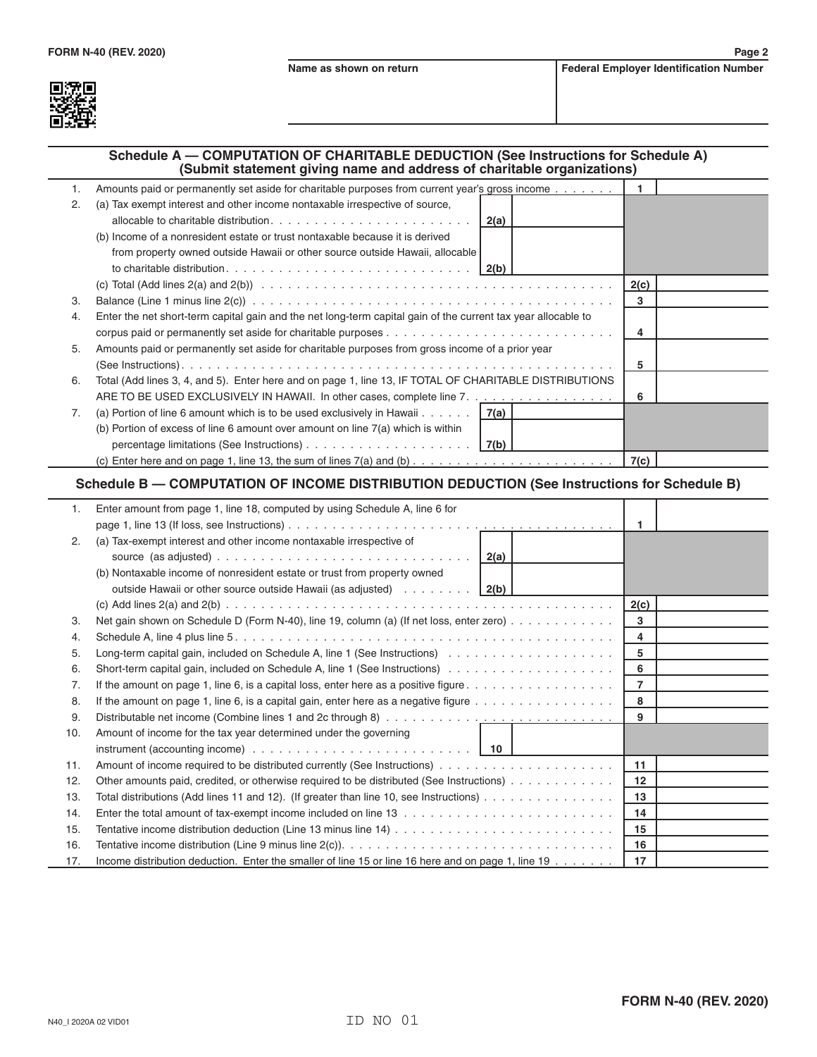

## **Schedule A — COMPUTATION OF CHARITABLE DEDUCTION (See Instructions for Schedule A) (Submit statement giving name and address of charitable organizations)**

| 1. | Amounts paid or permanently set aside for charitable purposes from current year's gross income                                                           |      |  |
|----|----------------------------------------------------------------------------------------------------------------------------------------------------------|------|--|
| 2. | (a) Tax exempt interest and other income nontaxable irrespective of source,                                                                              |      |  |
|    |                                                                                                                                                          |      |  |
|    | (b) Income of a nonresident estate or trust nontaxable because it is derived                                                                             |      |  |
|    | from property owned outside Hawaii or other source outside Hawaii, allocable                                                                             |      |  |
|    |                                                                                                                                                          |      |  |
|    |                                                                                                                                                          | 2(c) |  |
| 3. | Balance (Line 1 minus line $2(c)$ ) $\ldots$ $\ldots$ $\ldots$ $\ldots$ $\ldots$ $\ldots$ $\ldots$ $\ldots$ $\ldots$ $\ldots$ $\ldots$ $\ldots$ $\ldots$ | 3    |  |
| 4. | Enter the net short-term capital gain and the net long-term capital gain of the current tax year allocable to                                            |      |  |
|    |                                                                                                                                                          | 4    |  |
| 5. | Amounts paid or permanently set aside for charitable purposes from gross income of a prior year                                                          |      |  |
|    |                                                                                                                                                          | 5    |  |
| 6. | Total (Add lines 3, 4, and 5). Enter here and on page 1, line 13, IF TOTAL OF CHARITABLE DISTRIBUTIONS                                                   |      |  |
|    | ARE TO BE USED EXCLUSIVELY IN HAWAII. In other cases, complete line 7.                                                                                   | 6    |  |
| 7. | (a) Portion of line 6 amount which is to be used exclusively in Hawaii $\dots$ $\ldots$   7(a)                                                           |      |  |
|    | (b) Portion of excess of line 6 amount over amount on line $7(a)$ which is within                                                                        |      |  |
|    |                                                                                                                                                          |      |  |
|    |                                                                                                                                                          | 7(c) |  |

## **Schedule B — COMPUTATION OF INCOME DISTRIBUTION DEDUCTION (See Instructions for Schedule B)**

| 1.  | Enter amount from page 1, line 18, computed by using Schedule A, line 6 for                                               |                |  |
|-----|---------------------------------------------------------------------------------------------------------------------------|----------------|--|
|     |                                                                                                                           | 1              |  |
| 2.  | (a) Tax-exempt interest and other income nontaxable irrespective of                                                       |                |  |
|     |                                                                                                                           |                |  |
|     | (b) Nontaxable income of nonresident estate or trust from property owned                                                  |                |  |
|     | outside Hawaii or other source outside Hawaii (as adjusted) $\ldots \ldots \ldots$                                        |                |  |
|     |                                                                                                                           | 2(c)           |  |
| 3.  | Net gain shown on Schedule D (Form N-40), line 19, column (a) (If net loss, enter zero)                                   | 3              |  |
| 4.  |                                                                                                                           | 4              |  |
| 5.  |                                                                                                                           | 5              |  |
| 6.  |                                                                                                                           | 6              |  |
| 7.  | If the amount on page 1, line 6, is a capital loss, enter here as a positive figure $\dots \dots \dots \dots \dots \dots$ | $\overline{7}$ |  |
| 8.  | If the amount on page 1, line 6, is a capital gain, enter here as a negative figure $\dots \dots \dots \dots \dots$       | 8              |  |
| 9.  |                                                                                                                           | 9              |  |
| 10. | Amount of income for the tax year determined under the governing                                                          |                |  |
|     | instrument (accounting income) $\ldots \ldots \ldots \ldots \ldots \ldots \ldots \ldots \ldots$   10                      |                |  |
| 11. |                                                                                                                           | 11             |  |
| 12. | Other amounts paid, credited, or otherwise required to be distributed (See Instructions)                                  | $12 \,$        |  |
| 13. | Total distributions (Add lines 11 and 12). (If greater than line 10, see Instructions) $\ldots \ldots \ldots \ldots$      | 13             |  |
| 14. |                                                                                                                           | 14             |  |
| 15. |                                                                                                                           | 15             |  |
| 16. |                                                                                                                           | 16             |  |
| 17. | Income distribution deduction. Enter the smaller of line 15 or line 16 here and on page 1, line 19 $\dots$                | 17             |  |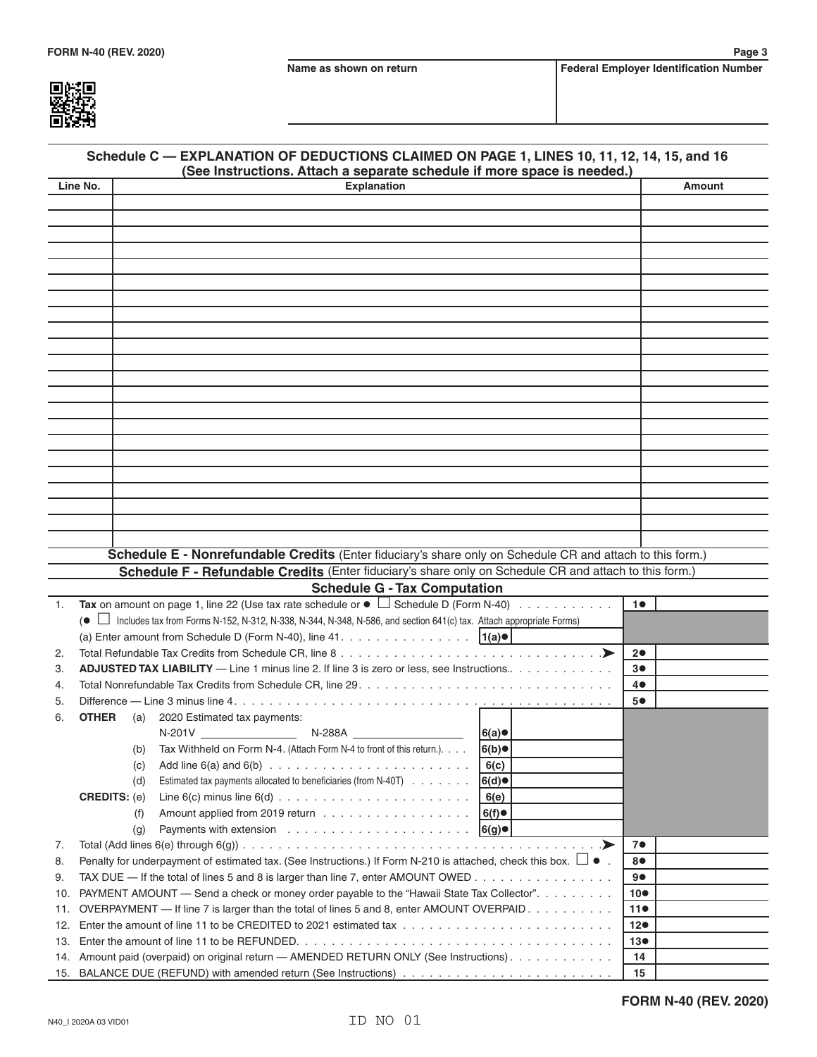

| Schedule C - EXPLANATION OF DEDUCTIONS CLAIMED ON PAGE 1, LINES 10, 11, 12, 14, 15, and 16<br>(See Instructions. Attach a separate schedule if more space is needed.) |                                                                                                                                       |      |                   |  |
|-----------------------------------------------------------------------------------------------------------------------------------------------------------------------|---------------------------------------------------------------------------------------------------------------------------------------|------|-------------------|--|
| Line No.                                                                                                                                                              | <b>Explanation</b>                                                                                                                    |      | <b>Amount</b>     |  |
|                                                                                                                                                                       |                                                                                                                                       |      |                   |  |
|                                                                                                                                                                       |                                                                                                                                       |      |                   |  |
|                                                                                                                                                                       |                                                                                                                                       |      |                   |  |
|                                                                                                                                                                       |                                                                                                                                       |      |                   |  |
|                                                                                                                                                                       |                                                                                                                                       |      |                   |  |
|                                                                                                                                                                       |                                                                                                                                       |      |                   |  |
|                                                                                                                                                                       |                                                                                                                                       |      |                   |  |
|                                                                                                                                                                       |                                                                                                                                       |      |                   |  |
|                                                                                                                                                                       |                                                                                                                                       |      |                   |  |
|                                                                                                                                                                       |                                                                                                                                       |      |                   |  |
|                                                                                                                                                                       |                                                                                                                                       |      |                   |  |
|                                                                                                                                                                       |                                                                                                                                       |      |                   |  |
|                                                                                                                                                                       |                                                                                                                                       |      |                   |  |
|                                                                                                                                                                       |                                                                                                                                       |      |                   |  |
|                                                                                                                                                                       |                                                                                                                                       |      |                   |  |
|                                                                                                                                                                       |                                                                                                                                       |      |                   |  |
|                                                                                                                                                                       |                                                                                                                                       |      |                   |  |
|                                                                                                                                                                       |                                                                                                                                       |      |                   |  |
|                                                                                                                                                                       |                                                                                                                                       |      |                   |  |
|                                                                                                                                                                       |                                                                                                                                       |      |                   |  |
|                                                                                                                                                                       |                                                                                                                                       |      |                   |  |
|                                                                                                                                                                       |                                                                                                                                       |      |                   |  |
|                                                                                                                                                                       |                                                                                                                                       |      |                   |  |
|                                                                                                                                                                       | Schedule E - Nonrefundable Credits (Enter fiduciary's share only on Schedule CR and attach to this form.)                             |      |                   |  |
|                                                                                                                                                                       | Schedule F - Refundable Credits (Enter fiduciary's share only on Schedule CR and attach to this form.)                                |      |                   |  |
| 1.                                                                                                                                                                    | <b>Schedule G - Tax Computation</b><br>Tax on amount on page 1, line 22 (Use tax rate schedule or $\bullet$ Schedule D (Form N-40)    |      | 10                |  |
|                                                                                                                                                                       | Includes tax from Forms N-152, N-312, N-338, N-344, N-348, N-586, and section 641(c) tax. Attach appropriate Forms)<br>$\bullet \Box$ |      |                   |  |
|                                                                                                                                                                       | (a) Enter amount from Schedule D (Form N-40), line 41. $\vert 1(a)\bullet\vert$                                                       |      |                   |  |
| 2.                                                                                                                                                                    |                                                                                                                                       |      | 20                |  |
| 3.                                                                                                                                                                    | <b>ADJUSTED TAX LIABILITY</b> — Line 1 minus line 2. If line 3 is zero or less, see Instructions.                                     |      | 3●                |  |
| 4.                                                                                                                                                                    |                                                                                                                                       |      | 4●                |  |
| 5.                                                                                                                                                                    |                                                                                                                                       |      | 5●                |  |
| 6.                                                                                                                                                                    | <b>OTHER</b><br>(a) 2020 Estimated tax payments:                                                                                      |      |                   |  |
|                                                                                                                                                                       |                                                                                                                                       | 6(a) |                   |  |
|                                                                                                                                                                       | Tax Withheld on Form N-4. (Attach Form N-4 to front of this return.).<br>(b)                                                          | 6(b) |                   |  |
|                                                                                                                                                                       | (c)                                                                                                                                   | 6(c) |                   |  |
|                                                                                                                                                                       | Estimated tax payments allocated to beneficiaries (from N-40T)<br>(d)                                                                 | 6(d) |                   |  |
|                                                                                                                                                                       | <b>CREDITS: (e)</b>                                                                                                                   | 6(e) |                   |  |
|                                                                                                                                                                       | (f)                                                                                                                                   | 6(f) |                   |  |
|                                                                                                                                                                       | (g)                                                                                                                                   | 6(g) |                   |  |
| 7.                                                                                                                                                                    |                                                                                                                                       | .➤   | 7●                |  |
| 8.                                                                                                                                                                    | Penalty for underpayment of estimated tax. (See Instructions.) If Form N-210 is attached, check this box. $\Box \bullet$ .            |      | 8●                |  |
| 9.                                                                                                                                                                    | TAX DUE — If the total of lines 5 and 8 is larger than line 7, enter AMOUNT OWED                                                      |      | 9●                |  |
| 10.                                                                                                                                                                   | PAYMENT AMOUNT — Send a check or money order payable to the "Hawaii State Tax Collector".                                             |      | $10\bullet$       |  |
| 11.                                                                                                                                                                   | OVERPAYMENT — If line 7 is larger than the total of lines 5 and 8, enter AMOUNT OVERPAID.                                             |      | 11●               |  |
| 12.                                                                                                                                                                   |                                                                                                                                       |      | 12●               |  |
| 13.<br>14.                                                                                                                                                            | Amount paid (overpaid) on original return - AMENDED RETURN ONLY (See Instructions).                                                   |      | $13\bullet$<br>14 |  |